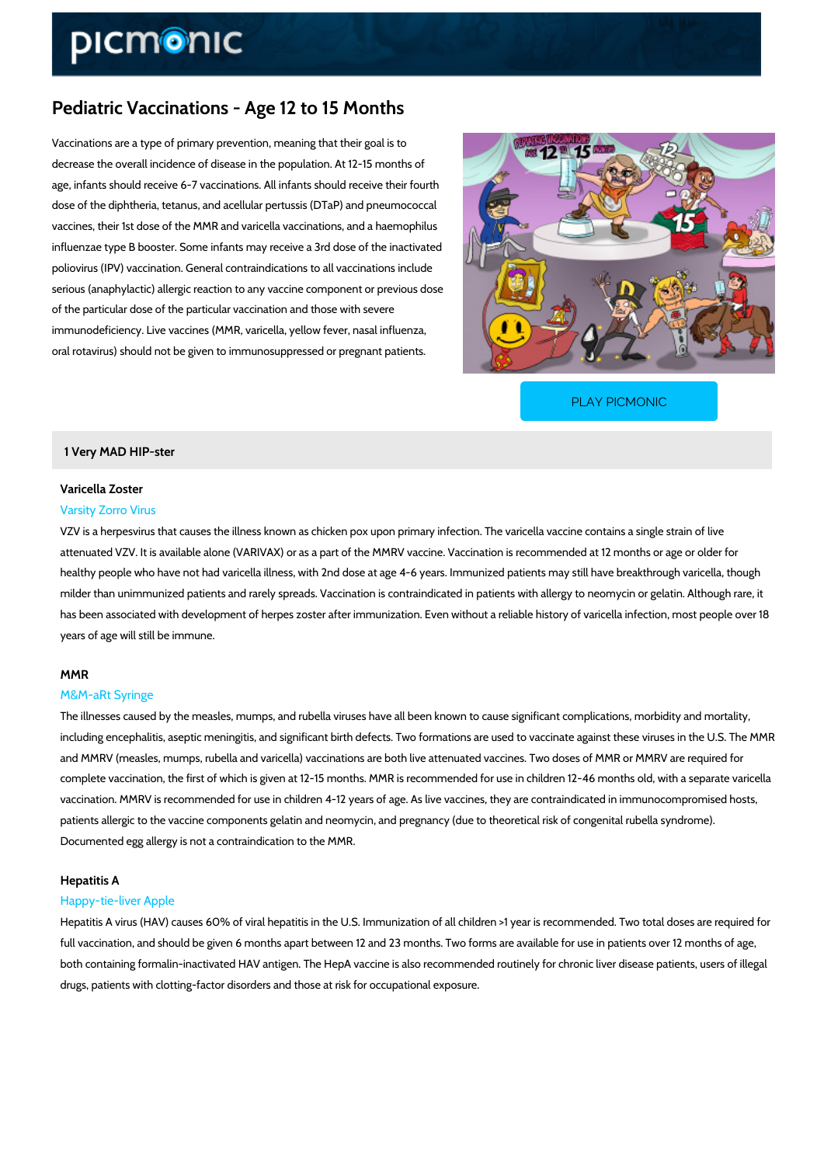# Pediatric Vaccinations - Age 12 to 15 Months

Vaccinations are a type of primary prevention, meaning that their goal is to decrease the overall incidence of disease in the population. At 12-15 months of age, infants should receive 6-7 vaccinations. All infants should receive their fourth dose of the diphtheria, tetanus, and acellular pertussis (DTaP) and pneumococcal vaccines, their 1st dose of the MMR and varicella vaccinations, and a haemophilus influenzae type B booster. Some infants may receive a 3rd dose of the inactivated poliovirus (IPV) vaccination. General contraindications to all vaccinations include serious (anaphylactic) allergic reaction to any vaccine component or previous dose of the particular dose of the particular vaccination and those with severe immunodeficiency. Live vaccines (MMR, varicella, yellow fever, nasal influenza, oral rotavirus) should not be given to immunosuppressed or pregnant patients.

[PLAY PICMONIC](https://www.picmonic.com/learn/pediatric-vaccinations-age-12-to-15-months_2480?utm_source=downloadable_content&utm_medium=distributedcontent&utm_campaign=pathways_pdf&utm_content=Pediatric Vaccinations - Age 12 to 15 Months&utm_ad_group=leads&utm_market=all)

### 1 Very MAD HIP-ster

## Varicella Zoster Varsity Zorro Virus

VZV is a herpesvirus that causes the illness known as chicken pox upon primary infection. The attenuated VZV. It is available alone (VARIVAX) or as a part of the MMRV vaccine. Vaccinatio healthy people who have not had varicella illness, with 2nd dose at age 4-6 years. Immunized milder than unimmunized patients and rarely spreads. Vaccination is contraindicated in patien has been associated with development of herpes zoster after immunization. Even without a rel years of age will still be immune.

### MMR

### M&M-aRt Syringe

The illnesses caused by the measles, mumps, and rubella viruses have all been known to caus including encephalitis, aseptic meningitis, and significant birth defects. Two formations are u and MMRV (measles, mumps, rubella and varicella) vaccinations are both live attenuated vacc complete vaccination, the first of which is given at 12-15 months. MMR is recommended for us vaccination. MMRV is recommended for use in children 4-12 years of age. As live vaccines, th patients allergic to the vaccine components gelatin and neomycin, and pregnancy (due to theo Documented egg allergy is not a contraindication to the MMR.

### Hepatitis A

### Happy-tie-liver Apple

Hepatitis A virus (HAV) causes 60% of viral hepatitis in the U.S. Immunization of all children full vaccination, and should be given 6 months apart between 12 and 23 months. Two forms are both containing formalin-inactivated HAV antigen. The HepA vaccine is also recommended rou drugs, patients with clotting-factor disorders and those at risk for occupational exposure.